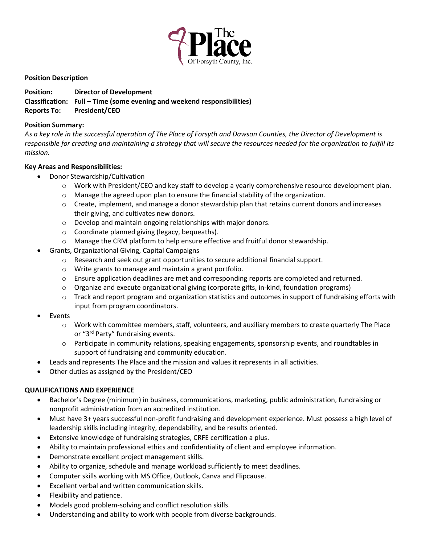

## **Position Description**

# **Position: Director of Development Classification: Full – Time (some evening and weekend responsibilities) Reports To: President/CEO**

#### **Position Summary:**

*As a key role in the successful operation of The Place of Forsyth and Dawson Counties, the Director of Development is responsible for creating and maintaining a strategy that will secure the resources needed for the organization to fulfill its mission.*

## **Key Areas and Responsibilities:**

- Donor Stewardship/Cultivation
	- o Work with President/CEO and key staff to develop a yearly comprehensive resource development plan.
	- $\circ$  Manage the agreed upon plan to ensure the financial stability of the organization.
	- o Create, implement, and manage a donor stewardship plan that retains current donors and increases their giving, and cultivates new donors.
	- o Develop and maintain ongoing relationships with major donors.
	- o Coordinate planned giving (legacy, bequeaths).
	- o Manage the CRM platform to help ensure effective and fruitful donor stewardship.
- Grants, Organizational Giving, Capital Campaigns
	- o Research and seek out grant opportunities to secure additional financial support.
	- o Write grants to manage and maintain a grant portfolio.
	- o Ensure application deadlines are met and corresponding reports are completed and returned.
	- $\circ$  Organize and execute organizational giving (corporate gifts, in-kind, foundation programs)
	- $\circ$  Track and report program and organization statistics and outcomes in support of fundraising efforts with input from program coordinators.
- **Events** 
	- $\circ$  Work with committee members, staff, volunteers, and auxiliary members to create quarterly The Place or "3rd Party" fundraising events.
	- o Participate in community relations, speaking engagements, sponsorship events, and roundtables in support of fundraising and community education.
- Leads and represents The Place and the mission and values it represents in all activities.
- Other duties as assigned by the President/CEO

## **QUALIFICATIONS AND EXPERIENCE**

- Bachelor's Degree (minimum) in business, communications, marketing, public administration, fundraising or nonprofit administration from an accredited institution.
- Must have 3+ years successful non-profit fundraising and development experience. Must possess a high level of leadership skills including integrity, dependability, and be results oriented.
- Extensive knowledge of fundraising strategies, CRFE certification a plus.
- Ability to maintain professional ethics and confidentiality of client and employee information.
- Demonstrate excellent project management skills.
- Ability to organize, schedule and manage workload sufficiently to meet deadlines.
- Computer skills working with MS Office, Outlook, Canva and Flipcause.
- Excellent verbal and written communication skills.
- Flexibility and patience.
- Models good problem-solving and conflict resolution skills.
- Understanding and ability to work with people from diverse backgrounds.